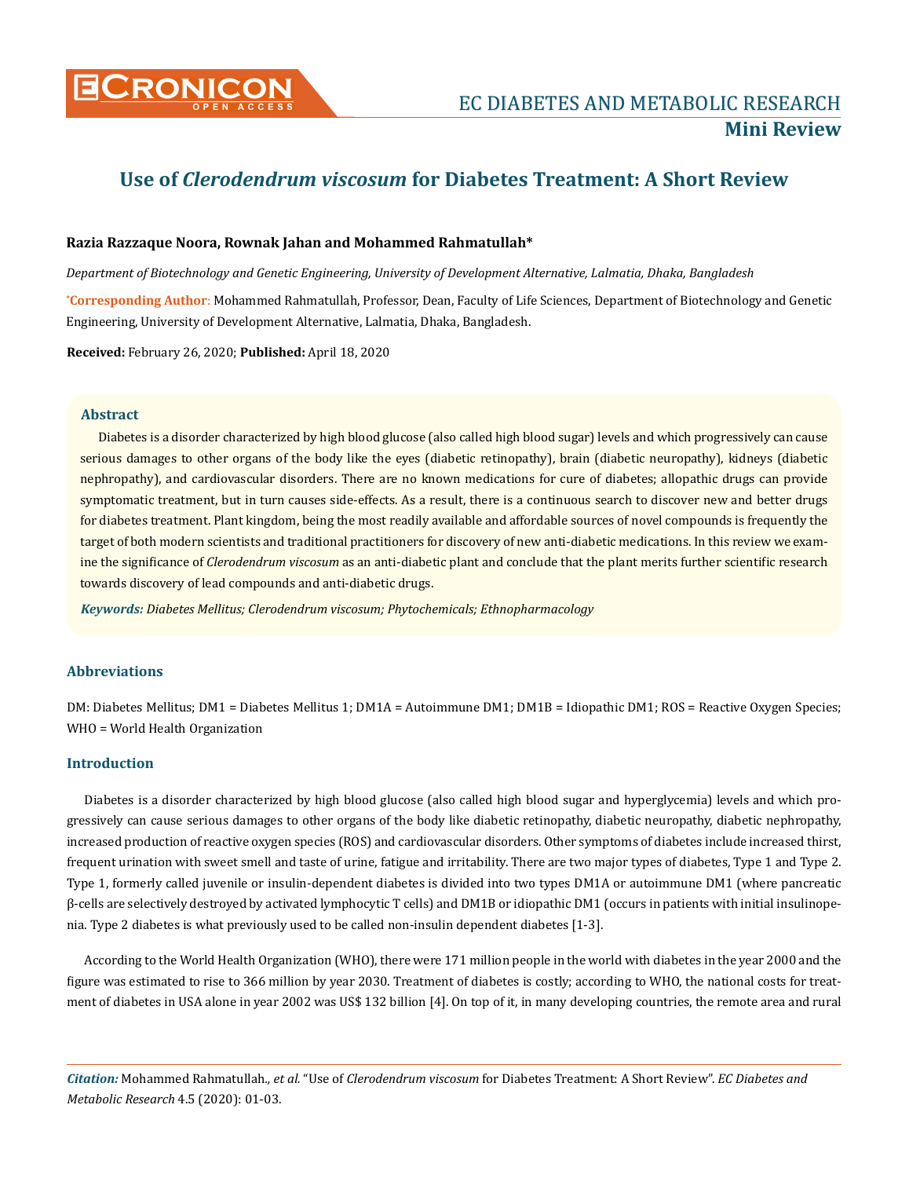

# **Use of** *Clerodendrum viscosum* **for Diabetes Treatment: A Short Review**

## **Razia Razzaque Noora, Rownak Jahan and Mohammed Rahmatullah\***

*Department of Biotechnology and Genetic Engineering, University of Development Alternative, Lalmatia, Dhaka, Bangladesh*

**\* Corresponding Author**: Mohammed Rahmatullah, Professor, Dean, Faculty of Life Sciences, Department of Biotechnology and Genetic Engineering, University of Development Alternative, Lalmatia, Dhaka, Bangladesh.

**Received:** February 26, 2020; **Published:** April 18, 2020

## **Abstract**

Diabetes is a disorder characterized by high blood glucose (also called high blood sugar) levels and which progressively can cause serious damages to other organs of the body like the eyes (diabetic retinopathy), brain (diabetic neuropathy), kidneys (diabetic nephropathy), and cardiovascular disorders. There are no known medications for cure of diabetes; allopathic drugs can provide symptomatic treatment, but in turn causes side-effects. As a result, there is a continuous search to discover new and better drugs for diabetes treatment. Plant kingdom, being the most readily available and affordable sources of novel compounds is frequently the target of both modern scientists and traditional practitioners for discovery of new anti-diabetic medications. In this review we examine the significance of *Clerodendrum viscosum* as an anti-diabetic plant and conclude that the plant merits further scientific research towards discovery of lead compounds and anti-diabetic drugs.

*Keywords: Diabetes Mellitus; Clerodendrum viscosum; Phytochemicals; Ethnopharmacology*

# **Abbreviations**

DM: Diabetes Mellitus; DM1 = Diabetes Mellitus 1; DM1A = Autoimmune DM1; DM1B = Idiopathic DM1; ROS = Reactive Oxygen Species; WHO = World Health Organization

# **Introduction**

Diabetes is a disorder characterized by high blood glucose (also called high blood sugar and hyperglycemia) levels and which progressively can cause serious damages to other organs of the body like diabetic retinopathy, diabetic neuropathy, diabetic nephropathy, increased production of reactive oxygen species (ROS) and cardiovascular disorders. Other symptoms of diabetes include increased thirst, frequent urination with sweet smell and taste of urine, fatigue and irritability. There are two major types of diabetes, Type 1 and Type 2. Type 1, formerly called juvenile or insulin-dependent diabetes is divided into two types DM1A or autoimmune DM1 (where pancreatic β-cells are selectively destroyed by activated lymphocytic T cells) and DM1B or idiopathic DM1 (occurs in patients with initial insulinopenia. Type 2 diabetes is what previously used to be called non-insulin dependent diabetes [1-3].

According to the World Health Organization (WHO), there were 171 million people in the world with diabetes in the year 2000 and the figure was estimated to rise to 366 million by year 2030. Treatment of diabetes is costly; according to WHO, the national costs for treatment of diabetes in USA alone in year 2002 was US\$ 132 billion [4]. On top of it, in many developing countries, the remote area and rural

*Citation:* Mohammed Rahmatullah*., et al.* "Use of *Clerodendrum viscosum* for Diabetes Treatment: A Short Review". *EC Diabetes and Metabolic Research* 4.5 (2020): 01-03.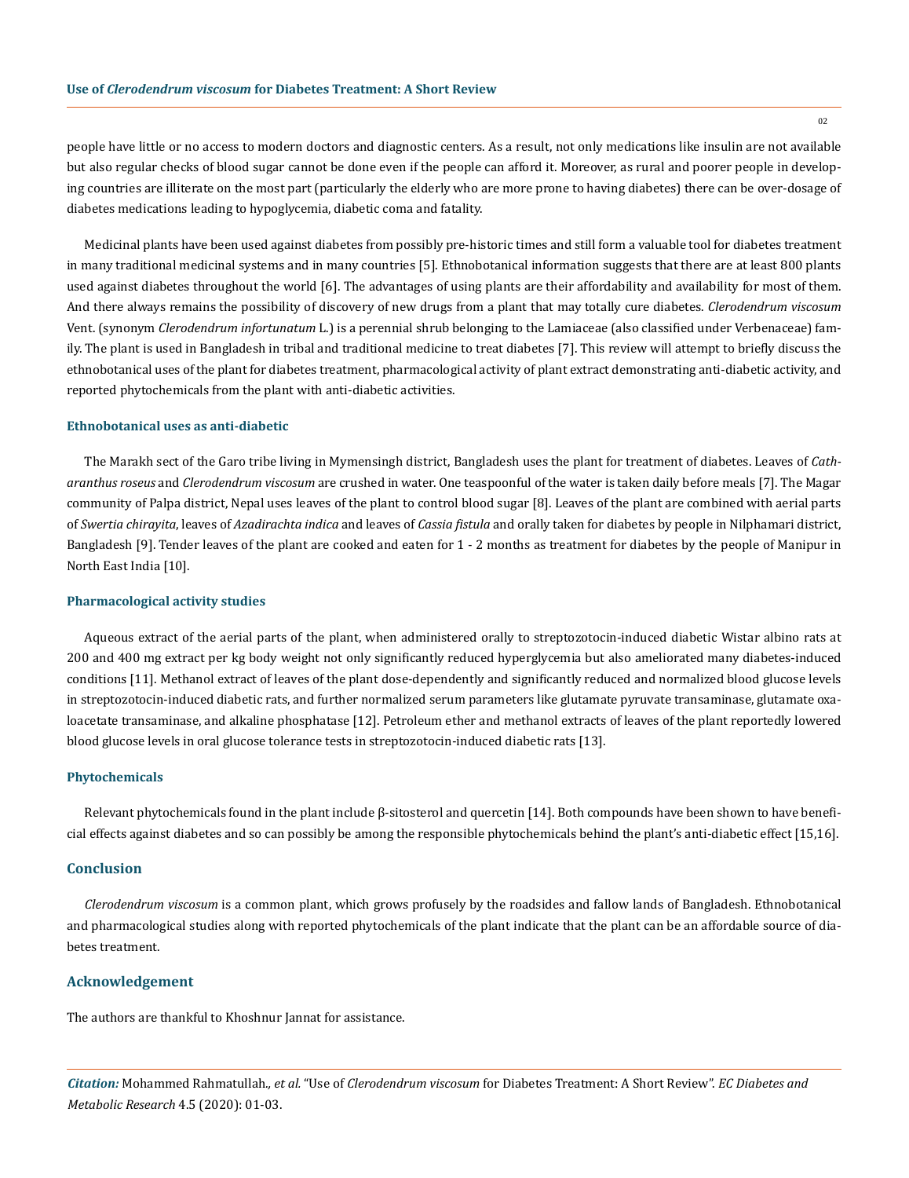people have little or no access to modern doctors and diagnostic centers. As a result, not only medications like insulin are not available but also regular checks of blood sugar cannot be done even if the people can afford it. Moreover, as rural and poorer people in developing countries are illiterate on the most part (particularly the elderly who are more prone to having diabetes) there can be over-dosage of diabetes medications leading to hypoglycemia, diabetic coma and fatality.

Medicinal plants have been used against diabetes from possibly pre-historic times and still form a valuable tool for diabetes treatment in many traditional medicinal systems and in many countries [5]. Ethnobotanical information suggests that there are at least 800 plants used against diabetes throughout the world [6]. The advantages of using plants are their affordability and availability for most of them. And there always remains the possibility of discovery of new drugs from a plant that may totally cure diabetes. *Clerodendrum viscosum* Vent. (synonym *Clerodendrum infortunatum* L.) is a perennial shrub belonging to the Lamiaceae (also classified under Verbenaceae) family. The plant is used in Bangladesh in tribal and traditional medicine to treat diabetes [7]. This review will attempt to briefly discuss the ethnobotanical uses of the plant for diabetes treatment, pharmacological activity of plant extract demonstrating anti-diabetic activity, and reported phytochemicals from the plant with anti-diabetic activities.

## **Ethnobotanical uses as anti-diabetic**

The Marakh sect of the Garo tribe living in Mymensingh district, Bangladesh uses the plant for treatment of diabetes. Leaves of *Catharanthus roseus* and *Clerodendrum viscosum* are crushed in water. One teaspoonful of the water is taken daily before meals [7]. The Magar community of Palpa district, Nepal uses leaves of the plant to control blood sugar [8]. Leaves of the plant are combined with aerial parts of *Swertia chirayita*, leaves of *Azadirachta indica* and leaves of *Cassia fistula* and orally taken for diabetes by people in Nilphamari district, Bangladesh [9]. Tender leaves of the plant are cooked and eaten for 1 - 2 months as treatment for diabetes by the people of Manipur in North East India [10].

#### **Pharmacological activity studies**

Aqueous extract of the aerial parts of the plant, when administered orally to streptozotocin-induced diabetic Wistar albino rats at 200 and 400 mg extract per kg body weight not only significantly reduced hyperglycemia but also ameliorated many diabetes-induced conditions [11]. Methanol extract of leaves of the plant dose-dependently and significantly reduced and normalized blood glucose levels in streptozotocin-induced diabetic rats, and further normalized serum parameters like glutamate pyruvate transaminase, glutamate oxaloacetate transaminase, and alkaline phosphatase [12]. Petroleum ether and methanol extracts of leaves of the plant reportedly lowered blood glucose levels in oral glucose tolerance tests in streptozotocin-induced diabetic rats [13].

### **Phytochemicals**

Relevant phytochemicals found in the plant include β-sitosterol and quercetin [14]. Both compounds have been shown to have beneficial effects against diabetes and so can possibly be among the responsible phytochemicals behind the plant's anti-diabetic effect [15,16].

## **Conclusion**

*Clerodendrum viscosum* is a common plant, which grows profusely by the roadsides and fallow lands of Bangladesh. Ethnobotanical and pharmacological studies along with reported phytochemicals of the plant indicate that the plant can be an affordable source of diabetes treatment.

## **Acknowledgement**

The authors are thankful to Khoshnur Jannat for assistance.

*Citation:* Mohammed Rahmatullah*., et al.* "Use of *Clerodendrum viscosum* for Diabetes Treatment: A Short Review". *EC Diabetes and Metabolic Research* 4.5 (2020): 01-03.

02